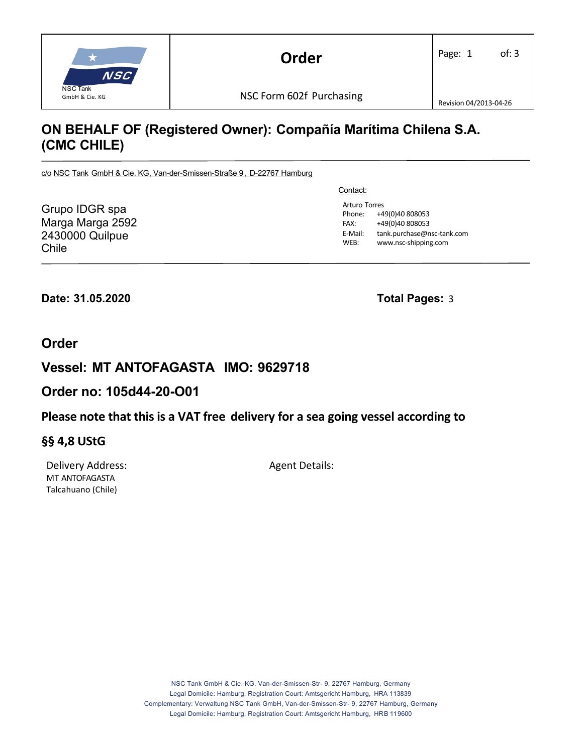

# **ON BEHALF OF (Registered Owner): Compañía Marítima Chilena S.A. (CMC CHILE)**

c/o NSC Tank GmbH & Cie. KG, Van-der-Smissen-Straße 9, D-22767 Hamburg

Grupo IDGR spa Marga Marga 2592 2430000 Quilpue Chile

Contact:

Arturo Torres Phone: +49(0)40 808053 FAX: +49(0)40 808053 E‐Mail: tank.purchase@nsc‐tank.com WEB: www.nsc-shipping.com

**Date: 31.05.2020 Total Pages:** 3

### **Order**

## **Vessel: MT ANTOFAGASTA IMO: 9629718**

### **Order no: 105d44-20-O01**

### **Please note that this is a VAT free delivery for a sea going vessel according to**

### **§§ 4,8 UStG**

Delivery Address: Agent Details: MT ANTOFAGASTA Talcahuano (Chile)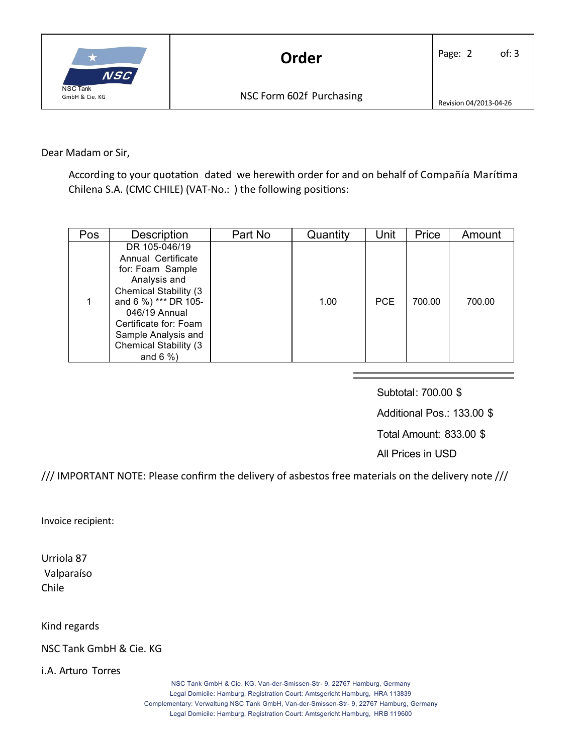

Dear Madam or Sir,

According to your quotation dated we herewith order for and on behalf of Compañía Marítima Chilena S.A. (CMC CHILE) (VAT-No.: ) the following positions:

| Pos | <b>Description</b>                                                                                                                                                                                                                                | Part No | Quantity | Unit | Price  | Amount |
|-----|---------------------------------------------------------------------------------------------------------------------------------------------------------------------------------------------------------------------------------------------------|---------|----------|------|--------|--------|
|     | DR 105-046/19<br>Annual Certificate<br>for: Foam Sample<br>Analysis and<br><b>Chemical Stability (3)</b><br>and 6 %) *** DR 105-<br>046/19 Annual<br>Certificate for: Foam<br>Sample Analysis and<br><b>Chemical Stability (3)</b><br>and $6\%$ ) |         | 1.00     | PCE  | 700.00 | 700.00 |

Subtotal: 700.00 \$ Additional Pos.: 133.00 \$ Total Amount: 833.00 \$

All Prices in USD

/// IMPORTANT NOTE: Please confirm the delivery of asbestos free materials on the delivery note ///

Invoice recipient:

Urriola 87 Valparaíso Chile

Kind regards

NSC Tank GmbH & Cie. KG

i.A. Arturo Torres

NSC Tank GmbH & Cie. KG, Van-der-Smissen-Str- 9, 22767 Hamburg, Germany Legal Domicile: Hamburg, Registration Court: Amtsgericht Hamburg, HRA 113839 Complementary: Verwaltung NSC Tank GmbH, Van-der-Smissen-Str- 9, 22767 Hamburg, Germany Legal Domicile: Hamburg, Registration Court: Amtsgericht Hamburg, HRB 119600